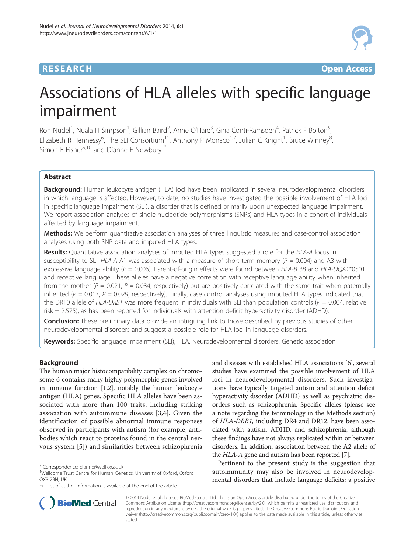## **RESEARCH CHE Open Access**



# Associations of HLA alleles with specific language impairment

Ron Nudel<sup>1</sup>, Nuala H Simpson<sup>1</sup>, Gillian Baird<sup>2</sup>, Anne O'Hare<sup>3</sup>, Gina Conti-Ramsden<sup>4</sup>, Patrick F Bolton<sup>5</sup> , Elizabeth R Hennessy<sup>6</sup>, The SLI Consortium<sup>11</sup>, Anthony P Monaco<sup>1,7</sup>, Julian C Knight<sup>1</sup>, Bruce Winney<sup>8</sup> ;<br>, Simon E Fisher $9,10$  and Dianne F Newbury<sup>1\*</sup>

## Abstract

**Background:** Human leukocyte antigen (HLA) loci have been implicated in several neurodevelopmental disorders in which language is affected. However, to date, no studies have investigated the possible involvement of HLA loci in specific language impairment (SLI), a disorder that is defined primarily upon unexpected language impairment. We report association analyses of single-nucleotide polymorphisms (SNPs) and HLA types in a cohort of individuals affected by language impairment.

**Methods:** We perform quantitative association analyses of three linguistic measures and case-control association analyses using both SNP data and imputed HLA types.

**Results:** Quantitative association analyses of imputed HLA types suggested a role for the HLA-A locus in susceptibility to SLI. HLA-A A1 was associated with a measure of short-term memory ( $P = 0.004$ ) and A3 with expressive language ability ( $P = 0.006$ ). Parent-of-origin effects were found between HLA-B B8 and HLA-DQA1\*0501 and receptive language. These alleles have a negative correlation with receptive language ability when inherited from the mother ( $P = 0.021$ ,  $P = 0.034$ , respectively) but are positively correlated with the same trait when paternally inherited ( $P = 0.013$ ,  $P = 0.029$ , respectively). Finally, case control analyses using imputed HLA types indicated that the DR10 allele of HLA-DRB1 was more frequent in individuals with SLI than population controls ( $P = 0.004$ , relative risk = 2.575), as has been reported for individuals with attention deficit hyperactivity disorder (ADHD).

Conclusion: These preliminary data provide an intriguing link to those described by previous studies of other neurodevelopmental disorders and suggest a possible role for HLA loci in language disorders.

Keywords: Specific language impairment (SLI), HLA, Neurodevelopmental disorders, Genetic association

## Background

The human major histocompatibility complex on chromosome 6 contains many highly polymorphic genes involved in immune function [[1,2\]](#page-7-0), notably the human leukocyte antigen (HLA) genes. Specific HLA alleles have been associated with more than 100 traits, including striking association with autoimmune diseases [[3,4](#page-7-0)]. Given the identification of possible abnormal immune responses observed in participants with autism (for example, antibodies which react to proteins found in the central nervous system [[5\]](#page-7-0)) and similarities between schizophrenia

and diseases with established HLA associations [[6\]](#page-7-0), several studies have examined the possible involvement of HLA loci in neurodevelopmental disorders. Such investigations have typically targeted autism and attention deficit hyperactivity disorder (ADHD) as well as psychiatric disorders such as schizophrenia. Specific alleles (please see a note regarding the terminology in the [Methods](#page-1-0) section) of HLA-DRB1, including DR4 and DR12, have been associated with autism, ADHD, and schizophrenia, although these findings have not always replicated within or between disorders. In addition, association between the A2 allele of the HLA-A gene and autism has been reported [[7](#page-7-0)].

Pertinent to the present study is the suggestion that autoimmunity may also be involved in neurodevelopmental disorders that include language deficits: a positive



© 2014 Nudel et al.; licensee BioMed Central Ltd. This is an Open Access article distributed under the terms of the Creative Commons Attribution License [\(http://creativecommons.org/licenses/by/2.0\)](http://creativecommons.org/licenses/by/2.0), which permits unrestricted use, distribution, and reproduction in any medium, provided the original work is properly cited. The Creative Commons Public Domain Dedication waiver [\(http://creativecommons.org/publicdomain/zero/1.0/\)](http://creativecommons.org/publicdomain/zero/1.0/) applies to the data made available in this article, unless otherwise stated.

<sup>\*</sup> Correspondence: [dianne@well.ox.ac.uk](mailto:dianne@well.ox.ac.uk) <sup>1</sup>

<sup>&</sup>lt;sup>1</sup>Wellcome Trust Centre for Human Genetics, University of Oxford, Oxford OX3 7BN, UK

Full list of author information is available at the end of the article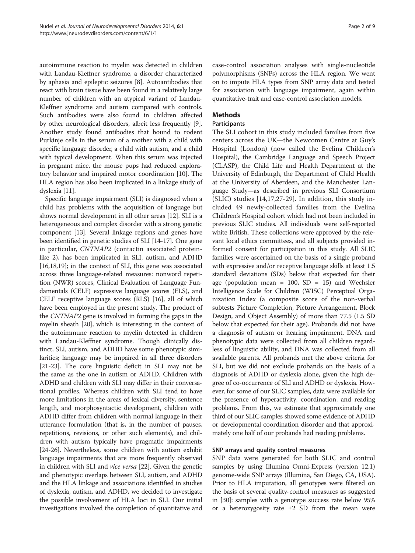<span id="page-1-0"></span>autoimmune reaction to myelin was detected in children with Landau-Kleffner syndrome, a disorder characterized by aphasia and epileptic seizures [[8](#page-7-0)]. Autoantibodies that react with brain tissue have been found in a relatively large number of children with an atypical variant of Landau-Kleffner syndrome and autism compared with controls. Such antibodies were also found in children affected by other neurological disorders, albeit less frequently [[9](#page-7-0)]. Another study found antibodies that bound to rodent Purkinje cells in the serum of a mother with a child with specific language disorder, a child with autism, and a child with typical development. When this serum was injected in pregnant mice, the mouse pups had reduced exploratory behavior and impaired motor coordination [\[10](#page-7-0)]. The HLA region has also been implicated in a linkage study of dyslexia [[11](#page-7-0)].

Specific language impairment (SLI) is diagnosed when a child has problems with the acquisition of language but shows normal development in all other areas [\[12\]](#page-7-0). SLI is a heterogeneous and complex disorder with a strong genetic component [[13](#page-7-0)]. Several linkage regions and genes have been identified in genetic studies of SLI [\[14-17\]](#page-7-0). One gene in particular, CNTNAP2 (contactin associated proteinlike 2), has been implicated in SLI, autism, and ADHD [[16,18,19\]](#page-7-0); in the context of SLI, this gene was associated across three language-related measures: nonword repetition (NWR) scores, Clinical Evaluation of Language Fundamentals (CELF) expressive language scores (ELS), and CELF receptive language scores (RLS) [[16](#page-7-0)], all of which have been employed in the present study. The product of the CNTNAP2 gene is involved in forming the gaps in the myelin sheath [[20](#page-7-0)], which is interesting in the context of the autoimmune reaction to myelin detected in children with Landau-Kleffner syndrome. Though clinically distinct, SLI, autism, and ADHD have some phenotypic similarities; language may be impaired in all three disorders [[21](#page-7-0)-[23](#page-7-0)]. The core linguistic deficit in SLI may not be the same as the one in autism or ADHD. Children with ADHD and children with SLI may differ in their conversational profiles. Whereas children with SLI tend to have more limitations in the areas of lexical diversity, sentence length, and morphosyntactic development, children with ADHD differ from children with normal language in their utterance formulation (that is, in the number of pauses, repetitions, revisions, or other such elements), and children with autism typically have pragmatic impairments [[24](#page-7-0)-[26](#page-7-0)]. Nevertheless, some children with autism exhibit language impairments that are more frequently observed in children with SLI and vice versa [\[22\]](#page-7-0). Given the genetic and phenotypic overlaps between SLI, autism, and ADHD and the HLA linkage and associations identified in studies of dyslexia, autism, and ADHD, we decided to investigate the possible involvement of HLA loci in SLI. Our initial investigations involved the completion of quantitative and case-control association analyses with single-nucleotide polymorphisms (SNPs) across the HLA region. We went on to impute HLA types from SNP array data and tested for association with language impairment, again within quantitative-trait and case-control association models.

## Methods

#### **Participants**

The SLI cohort in this study included families from five centers across the UK—the Newcomen Centre at Guy's Hospital (London) (now called the Evelina Children's Hospital), the Cambridge Language and Speech Project (CLASP), the Child Life and Health Department at the University of Edinburgh, the Department of Child Health at the University of Aberdeen, and the Manchester Language Study—as described in previous SLI Consortium (SLIC) studies [[14,17,27](#page-7-0)-[29](#page-7-0)]. In addition, this study included 49 newly-collected families from the Evelina Children's Hospital cohort which had not been included in previous SLIC studies. All individuals were self-reported white British. These collections were approved by the relevant local ethics committees, and all subjects provided informed consent for participation in this study. All SLIC families were ascertained on the basis of a single proband with expressive and/or receptive language skills at least 1.5 standard deviations (SDs) below that expected for their age (population mean =  $100$ , SD =  $15$ ) and Wechsler Intelligence Scale for Children (WISC) Perceptual Organization Index (a composite score of the non-verbal subtests Picture Completion, Picture Arrangement, Block Design, and Object Assembly) of more than 77.5 (1.5 SD below that expected for their age). Probands did not have a diagnosis of autism or hearing impairment. DNA and phenotypic data were collected from all children regardless of linguistic ability, and DNA was collected from all available parents. All probands met the above criteria for SLI, but we did not exclude probands on the basis of a diagnosis of ADHD or dyslexia alone, given the high degree of co-occurrence of SLI and ADHD or dyslexia. However, for some of our SLIC samples, data were available for the presence of hyperactivity, coordination, and reading problems. From this, we estimate that approximately one third of our SLIC samples showed some evidence of ADHD or developmental coordination disorder and that approximately one half of our probands had reading problems.

#### SNP arrays and quality control measures

SNP data were generated for both SLIC and control samples by using Illumina Omni-Express (version 12.1) genome-wide SNP arrays (Illumina, San Diego, CA, USA). Prior to HLA imputation, all genotypes were filtered on the basis of several quality-control measures as suggested in [\[30\]](#page-7-0): samples with a genotype success rate below 95% or a heterozygosity rate ±2 SD from the mean were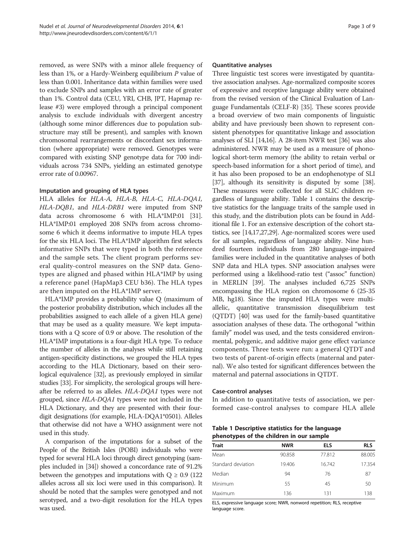removed, as were SNPs with a minor allele frequency of less than 1%, or a Hardy-Weinberg equilibrium P value of less than 0.001. Inheritance data within families were used to exclude SNPs and samples with an error rate of greater than 1%. Control data (CEU, YRI, CHB, JPT, Hapmap release #3) were employed through a principal component analysis to exclude individuals with divergent ancestry (although some minor differences due to population substructure may still be present), and samples with known chromosomal rearrangements or discordant sex information (where appropriate) were removed. Genotypes were compared with existing SNP genotype data for 700 individuals across 734 SNPs, yielding an estimated genotype error rate of 0.00967.

#### Imputation and grouping of HLA types

HLA alleles for HLA-A, HLA-B, HLA-C, HLA-DQA1, HLA-DQB1, and HLA-DRB1 were imputed from SNP data across chromosome 6 with HLA\*IMP:01 [[31](#page-7-0)]. HLA\*IMP:01 employed 208 SNPs from across chromosome 6 which it deems informative to impute HLA types for the six HLA loci. The HLA\*IMP algorithm first selects informative SNPs that were typed in both the reference and the sample sets. The client program performs several quality-control measures on the SNP data. Genotypes are aligned and phased within HLA\*IMP by using a reference panel (HapMap3 CEU b36). The HLA types are then imputed on the HLA\*IMP server.

HLA\*IMP provides a probability value Q (maximum of the posterior probability distribution, which includes all the probabilities assigned to each allele of a given HLA gene) that may be used as a quality measure. We kept imputations with a Q score of 0.9 or above. The resolution of the HLA\*IMP imputations is a four-digit HLA type. To reduce the number of alleles in the analyses while still retaining antigen-specificity distinctions, we grouped the HLA types according to the HLA Dictionary, based on their serological equivalence [[32](#page-7-0)], as previously employed in similar studies [\[33\]](#page-7-0). For simplicity, the serological groups will hereafter be referred to as alleles. HLA-DQA1 types were not grouped, since HLA-DQA1 types were not included in the HLA Dictionary, and they are presented with their fourdigit designations (for example, HLA-DQA1\*0501). Alleles that otherwise did not have a WHO assignment were not used in this study.

A comparison of the imputations for a subset of the People of the British Isles (POBI) individuals who were typed for several HLA loci through direct genotyping (samples included in [\[34](#page-7-0)]) showed a concordance rate of 91.2% between the genotypes and imputations with  $Q \geq 0.9$  (122) alleles across all six loci were used in this comparison). It should be noted that the samples were genotyped and not serotyped, and a two-digit resolution for the HLA types was used.

#### Quantitative analyses

Three linguistic test scores were investigated by quantitative association analyses. Age-normalized composite scores of expressive and receptive language ability were obtained from the revised version of the Clinical Evaluation of Language Fundamentals (CELF-R) [\[35\]](#page-7-0). These scores provide a broad overview of two main components of linguistic ability and have previously been shown to represent consistent phenotypes for quantitative linkage and association analyses of SLI [\[14,16](#page-7-0)]. A 28-item NWR test [[36](#page-7-0)] was also administered. NWR may be used as a measure of phonological short-term memory (the ability to retain verbal or speech-based information for a short period of time), and it has also been proposed to be an endophenotype of SLI [[37](#page-7-0)], although its sensitivity is disputed by some [[38](#page-7-0)]. These measures were collected for all SLIC children regardless of language ability. Table 1 contains the descriptive statistics for the language traits of the sample used in this study, and the distribution plots can be found in Additional file [1](#page-6-0). For an extensive description of the cohort statistics, see [\[14,17,27,29](#page-7-0)]. Age-normalized scores were used for all samples, regardless of language ability. Nine hundred fourteen individuals from 280 language-impaired families were included in the quantitative analyses of both SNP data and HLA types. SNP association analyses were performed using a likelihood-ratio test ("assoc" function) in MERLIN [\[39\]](#page-7-0). The analyses included 6,725 SNPs encompassing the HLA region on chromosome 6 (25-35 MB, hg18). Since the imputed HLA types were multiallelic, quantitative transmission disequilibrium test (QTDT) [[40](#page-7-0)] was used for the family-based quantitative association analyses of these data. The orthogonal "within family" model was used, and the tests considered environmental, polygenic, and additive major gene effect variance components. Three tests were run: a general QTDT and two tests of parent-of-origin effects (maternal and paternal). We also tested for significant differences between the maternal and paternal associations in QTDT.

#### Case-control analyses

In addition to quantitative tests of association, we performed case-control analyses to compare HLA allele

| Table 1 Descriptive statistics for the language |
|-------------------------------------------------|
| phenotypes of the children in our sample        |

| <b>Trait</b>       | <b>NWR</b> | <b>ELS</b> | <b>RLS</b> |  |
|--------------------|------------|------------|------------|--|
| Mean               | 90.858     | 77.812     | 88.005     |  |
| Standard deviation | 19.406     | 16.742     | 17.354     |  |
| Median             | 94         | 76         | 87         |  |
| Minimum            | 55         | 45         | 50         |  |
| Maximum            | 136        | 131        | 138        |  |

ELS, expressive language score; NWR, nonword repetition; RLS, receptive language score.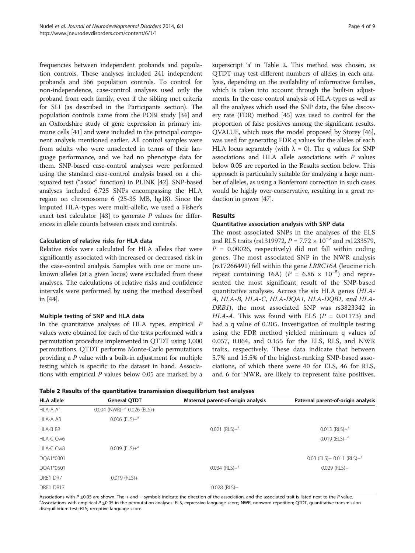<span id="page-3-0"></span>frequencies between independent probands and population controls. These analyses included 241 independent probands and 566 population controls. To control for non-independence, case-control analyses used only the proband from each family, even if the sibling met criteria for SLI (as described in the [Participants](#page-1-0) section). The population controls came from the POBI study [\[34\]](#page-7-0) and an Oxfordshire study of gene expression in primary immune cells [\[41\]](#page-8-0) and were included in the principal component analysis mentioned earlier. All control samples were from adults who were unselected in terms of their language performance, and we had no phenotype data for them. SNP-based case-control analyses were performed using the standard case-control analysis based on a chisquared test ("assoc" function) in PLINK [[42](#page-8-0)]. SNP-based analyses included 6,725 SNPs encompassing the HLA region on chromosome 6 (25-35 MB, hg18). Since the imputed HLA-types were multi-allelic, we used a Fisher's exact test calculator [[43](#page-8-0)] to generate  $P$  values for differences in allele counts between cases and controls.

## Calculation of relative risks for HLA data

Relative risks were calculated for HLA alleles that were significantly associated with increased or decreased risk in the case-control analysis. Samples with one or more unknown alleles (at a given locus) were excluded from these analyses. The calculations of relative risks and confidence intervals were performed by using the method described in [\[44\]](#page-8-0).

## Multiple testing of SNP and HLA data

In the quantitative analyses of HLA types, empirical P values were obtained for each of the tests performed with a permutation procedure implemented in QTDT using 1,000 permutations. QTDT performs Monte-Carlo permutations providing a P value with a built-in adjustment for multiple testing which is specific to the dataset in hand. Associations with empirical  $P$  values below 0.05 are marked by a

superscript 'a' in Table 2. This method was chosen, as QTDT may test different numbers of alleles in each analysis, depending on the availability of informative families, which is taken into account through the built-in adjustments. In the case-control analysis of HLA-types as well as all the analyses which used the SNP data, the false discovery rate (FDR) method [[45](#page-8-0)] was used to control for the proportion of false positives among the significant results. QVALUE, which uses the model proposed by Storey [\[46](#page-8-0)], was used for generating FDR q values for the alleles of each HLA locus separately (with  $\lambda = 0$ ). The q values for SNP associations and HLA allele associations with P values below 0.05 are reported in the Results section below. This approach is particularly suitable for analyzing a large number of alleles, as using a Bonferroni correction in such cases would be highly over-conservative, resulting in a great reduction in power [\[47](#page-8-0)].

## Results

#### Quantitative association analysis with SNP data

The most associated SNPs in the analyses of the ELS and RLS traits (rs1319972,  $P = 7.72 \times 10^{-5}$  and rs1233579,  $P = 0.00026$ , respectively) did not fall within coding genes. The most associated SNP in the NWR analysis (rs17266491) fell within the gene LRRC16A (leucine rich repeat containing 16A) ( $P = 6.86 \times 10^{-5}$ ) and represented the most significant result of the SNP-based quantitative analyses. Across the six HLA genes (HLA-A, HLA-B, HLA-C, HLA-DQA1, HLA-DQB1, and HLA-DRB1), the most associated SNP was rs3823342 in HLA-A. This was found with ELS ( $P = 0.01173$ ) and had a q value of 0.205. Investigation of multiple testing using the FDR method yielded minimum q values of 0.057, 0.064, and 0.155 for the ELS, RLS, and NWR traits, respectively. These data indicate that between 5.7% and 15.5% of the highest-ranking SNP-based associations, of which there were 40 for ELS, 46 for RLS, and 6 for NWR, are likely to represent false positives.

Table 2 Results of the quantitative transmission disequilibrium test analyses

| <b>HLA allele</b> | <b>General OTDT</b>                            | Maternal parent-of-origin analysis | Paternal parent-of-origin analysis            |
|-------------------|------------------------------------------------|------------------------------------|-----------------------------------------------|
| HLA-A A1          | $0.004$ (NWR) $+$ <sup>a</sup> 0.026 (ELS) $+$ |                                    |                                               |
| HLA-A A3          | $0.006$ (ELS) $-$ <sup>a</sup>                 |                                    |                                               |
| HLA-B B8          |                                                | $0.021$ (RLS) $-$ <sup>a</sup>     | $0.013$ (RLS) $+$ <sup>a</sup>                |
| HLA-C Cw6         |                                                |                                    | $0.019$ (ELS) $-$ <sup>a</sup>                |
| HLA-C Cw8         | $0.039$ (ELS) $+$ <sup>a</sup>                 |                                    |                                               |
| DQA1*0301         |                                                |                                    | $0.03$ (ELS) $- 0.011$ (RLS) $-$ <sup>a</sup> |
| DQA1*0501         |                                                | $0.034$ (RLS) $-$ <sup>a</sup>     | $0.029$ (RLS)+                                |
| DRB1 DR7          | $0.019$ (RLS)+                                 |                                    |                                               |
| DRB1 DR17         |                                                | $0.028$ (RLS)-                     |                                               |

Associations with P ≤0.05 are shown. The + and − symbols indicate the direction of the association, and the associated trait is listed next to the P value. <sup>a</sup>Associations with empirical P ≤0.05 in the permutation analyses. ELS, expressive language score; NWR, nonword repetition; QTDT, quantitative transmission disequilibrium test; RLS, receptive language score.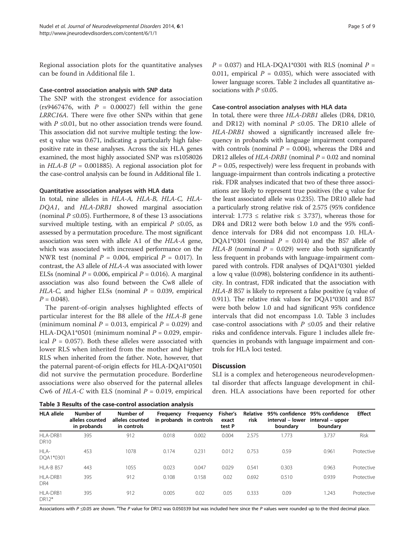<span id="page-4-0"></span>Regional association plots for the quantitative analyses can be found in Additional file [1](#page-6-0).

#### Case-control association analysis with SNP data

The SNP with the strongest evidence for association  $(rs9467476, with P = 0.00027) fell within the gene$ LRRC16A. There were five other SNPs within that gene with  $P \le 0.01$ , but no other association trends were found. This association did not survive multiple testing: the lowest q value was 0.671, indicating a particularly high falsepositive rate in these analyses. Across the six HLA genes examined, the most highly associated SNP was rs1058026 in  $HLA-B$  ( $P = 0.001885$ ). A regional association plot for the case-control analysis can be found in Additional file [1](#page-6-0).

## Quantitative association analyses with HLA data

In total, nine alleles in HLA-A, HLA-B, HLA-C, HLA-DQA1, and HLA-DRB1 showed marginal association (nominal  $P \le 0.05$ ). Furthermore, 8 of these 13 associations survived multiple testing, with an empirical  $P \leq 0.05$ , as assessed by a permutation procedure. The most significant association was seen with allele A1 of the HLA-A gene, which was associated with increased performance on the NWR test (nominal  $P = 0.004$ , empirical  $P = 0.017$ ). In contrast, the A3 allele of HLA-A was associated with lower ELSs (nominal  $P = 0.006$ , empirical  $P = 0.016$ ). A marginal association was also found between the Cw8 allele of  $HLA-C$ , and higher ELSs (nominal  $P = 0.039$ , empirical  $P = 0.048$ ).

The parent-of-origin analyses highlighted effects of particular interest for the B8 allele of the HLA-B gene (minimum nominal  $P = 0.013$ , empirical  $P = 0.029$ ) and HLA-DQA1\*0501 (minimum nominal  $P = 0.029$ , empirical  $P = 0.057$ ). Both these alleles were associated with lower RLS when inherited from the mother and higher RLS when inherited from the father. Note, however, that the paternal parent-of-origin effects for HLA-DQA1\*0501 did not survive the permutation procedure. Borderline associations were also observed for the paternal alleles Cw6 of  $HLA-C$  with ELS (nominal  $P = 0.019$ , empirical  $P = 0.037$ ) and HLA-DQA1\*0301 with RLS (nominal  $P =$ 0.011, empirical  $P = 0.035$ ), which were associated with lower language scores. Table [2](#page-3-0) includes all quantitative associations with  $P \leq 0.05$ .

## Case-control association analyses with HLA data

In total, there were three HLA-DRB1 alleles (DR4, DR10, and DR12) with nominal  $P \le 0.05$ . The DR10 allele of HLA-DRB1 showed a significantly increased allele frequency in probands with language impairment compared with controls (nominal  $P = 0.004$ ), whereas the DR4 and DR12 alleles of  $HLA-DRB1$  (nominal  $P = 0.02$  and nominal  $P = 0.05$ , respectively) were less frequent in probands with language-impairment than controls indicating a protective risk. FDR analyses indicated that two of these three associations are likely to represent true positives (the q value for the least associated allele was 0.235). The DR10 allele had a particularly strong relative risk of 2.575 (95% confidence interval: 1.773 ≤ relative risk ≤ 3.737), whereas those for DR4 and DR12 were both below 1.0 and the 95% confidence intervals for DR4 did not encompass 1.0. HLA-DQA1\*0301 (nominal  $P = 0.014$ ) and the B57 allele of  $HLA-B$  (nominal  $P = 0.029$ ) were also both significantly less frequent in probands with language-impairment compared with controls. FDR analyses of DQA1\*0301 yielded a low q value (0.098), bolstering confidence in its authenticity. In contrast, FDR indicated that the association with HLA-B B57 is likely to represent a false positive (q value of 0.911). The relative risk values for DQA1\*0301 and B57 were both below 1.0 and had significant 95% confidence intervals that did not encompass 1.0. Table 3 includes case-control associations with  $P \leq 0.05$  and their relative risks and confidence intervals. Figure [1](#page-5-0) includes allele frequencies in probands with language impairment and controls for HLA loci tested.

## Discussion

SLI is a complex and heterogeneous neurodevelopmental disorder that affects language development in children. HLA associations have been reported for other

| Table 3 Results of the case-control association analysis |  |  |  |
|----------------------------------------------------------|--|--|--|
|----------------------------------------------------------|--|--|--|

| <b>HLA allele</b>       | Number of<br>alleles counted<br>in probands | Number of<br>alleles counted<br>in controls | Frequency<br>in probands in controls | Frequency | Fisher's<br>exact<br>test P | Relative<br>risk | boundary | 95% confidence 95% confidence<br>interval – lower interval – upper<br>boundary | <b>Effect</b> |
|-------------------------|---------------------------------------------|---------------------------------------------|--------------------------------------|-----------|-----------------------------|------------------|----------|--------------------------------------------------------------------------------|---------------|
| HLA-DRB1<br><b>DR10</b> | 395                                         | 912                                         | 0.018                                | 0.002     | 0.004                       | 2.575            | .773     | 3.737                                                                          | <b>Risk</b>   |
| $HI A-$<br>DOA1*0301    | 453                                         | 1078                                        | 0.174                                | 0.231     | 0.012                       | 0.753            | 0.59     | 0.961                                                                          | Protective    |
| HLA-B B57               | 443                                         | 1055                                        | 0.023                                | 0.047     | 0.029                       | 0.541            | 0.303    | 0.963                                                                          | Protective    |
| HLA-DRB1<br>DR4         | 395                                         | 912                                         | 0.108                                | 0.158     | 0.02                        | 0.692            | 0.510    | 0.939                                                                          | Protective    |
| HI A-DRB1<br>$DR12*$    | 395                                         | 912                                         | 0.005                                | 0.02      | 0.05                        | 0.333            | 0.09     | .243                                                                           | Protective    |

Associations with  $P \le 0.05$  are shown. <sup>a</sup>The P value for DR12 was 0.050339 but was included here since the P values were rounded up to the third decimal place.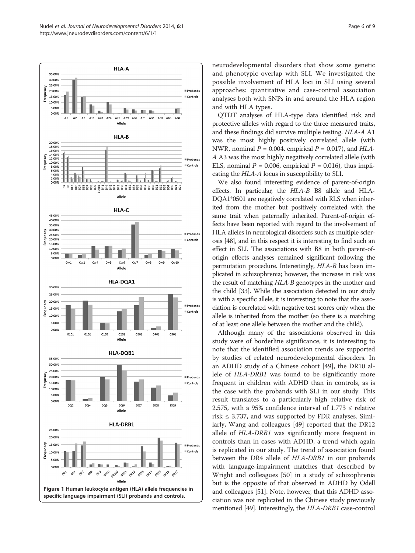<span id="page-5-0"></span>

neurodevelopmental disorders that show some genetic and phenotypic overlap with SLI. We investigated the possible involvement of HLA loci in SLI using several approaches: quantitative and case-control association analyses both with SNPs in and around the HLA region and with HLA types.

QTDT analyses of HLA-type data identified risk and protective alleles with regard to the three measured traits, and these findings did survive multiple testing. HLA-A A1 was the most highly positively correlated allele (with NWR, nominal  $P = 0.004$ , empirical  $P = 0.017$ ), and HLA-A A3 was the most highly negatively correlated allele (with ELS, nominal  $P = 0.006$ , empirical  $P = 0.016$ ), thus implicating the HLA-A locus in susceptibility to SLI.

We also found interesting evidence of parent-of-origin effects. In particular, the HLA-B B8 allele and HLA-DQA1\*0501 are negatively correlated with RLS when inherited from the mother but positively correlated with the same trait when paternally inherited. Parent-of-origin effects have been reported with regard to the involvement of HLA alleles in neurological disorders such as multiple sclerosis [\[48](#page-8-0)], and in this respect it is interesting to find such an effect in SLI. The associations with B8 in both parent-oforigin effects analyses remained significant following the permutation procedure. Interestingly, HLA-B has been implicated in schizophrenia; however, the increase in risk was the result of matching HLA-B genotypes in the mother and the child [\[33\]](#page-7-0). While the association detected in our study is with a specific allele, it is interesting to note that the association is correlated with negative test scores only when the allele is inherited from the mother (so there is a matching of at least one allele between the mother and the child).

Although many of the associations observed in this study were of borderline significance, it is interesting to note that the identified association trends are supported by studies of related neurodevelopmental disorders. In an ADHD study of a Chinese cohort [[49\]](#page-8-0), the DR10 allele of HLA-DRB1 was found to be significantly more frequent in children with ADHD than in controls, as is the case with the probands with SLI in our study. This result translates to a particularly high relative risk of 2.575, with a 95% confidence interval of  $1.773 \le$  relative risk  $\leq$  3.737, and was supported by FDR analyses. Similarly, Wang and colleagues [[49\]](#page-8-0) reported that the DR12 allele of HLA-DRB1 was significantly more frequent in controls than in cases with ADHD, a trend which again is replicated in our study. The trend of association found between the DR4 allele of HLA-DRB1 in our probands with language-impairment matches that described by Wright and colleagues [\[50](#page-8-0)] in a study of schizophrenia but is the opposite of that observed in ADHD by Odell and colleagues [\[51](#page-8-0)]. Note, however, that this ADHD association was not replicated in the Chinese study previously mentioned [[49](#page-8-0)]. Interestingly, the HLA-DRB1 case-control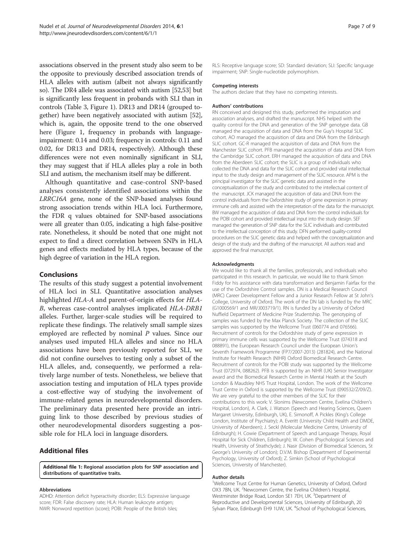<span id="page-6-0"></span>associations observed in the present study also seem to be the opposite to previously described association trends of HLA alleles with autism (albeit not always significantly so). The DR4 allele was associated with autism [[52,53](#page-8-0)] but is significantly less frequent in probands with SLI than in controls (Table [3,](#page-4-0) Figure [1\)](#page-5-0). DR13 and DR14 (grouped together) have been negatively associated with autism [[52](#page-8-0)], which is, again, the opposite trend to the one observed here (Figure [1,](#page-5-0) frequency in probands with languageimpairment: 0.14 and 0.03; frequency in controls: 0.11 and 0.02, for DR13 and DR14, respectively). Although these differences were not even nominally significant in SLI, they may suggest that if HLA alleles play a role in both SLI and autism, the mechanism itself may be different.

Although quantitative and case-control SNP-based analyses consistently identified associations within the LRRC16A gene, none of the SNP-based analyses found strong association trends within HLA loci. Furthermore, the FDR q values obtained for SNP-based associations were all greater than 0.05, indicating a high false-positive rate. Nonetheless, it should be noted that one might not expect to find a direct correlation between SNPs in HLA genes and effects mediated by HLA types, because of the high degree of variation in the HLA region.

## Conclusions

The results of this study suggest a potential involvement of HLA loci in SLI. Quantitative association analyses highlighted HLA-A and parent-of-origin effects for HLA-B, whereas case-control analyses implicated HLA-DRB1 alleles. Further, larger-scale studies will be required to replicate these findings. The relatively small sample sizes employed are reflected by nominal P values. Since our analyses used imputed HLA alleles and since no HLA associations have been previously reported for SLI, we did not confine ourselves to testing only a subset of the HLA alleles, and, consequently, we performed a relatively large number of tests. Nonetheless, we believe that association testing and imputation of HLA types provide a cost-effective way of studying the involvement of immune-related genes in neurodevelopmental disorders. The preliminary data presented here provide an intriguing link to those described by previous studies of other neurodevelopmental disorders suggesting a possible role for HLA loci in language disorders.

## Additional files

[Additional file 1:](http://www.biomedcentral.com/content/supplementary/1866-1955-6-1-S1.pdf) Regional association plots for SNP association and distributions of quantitative traits.

#### Abbreviations

ADHD: Attention deficit hyperactivity disorder; ELS: Expressive language score; FDR: False discovery rate; HLA: Human leukocyte antigen; NWR: Nonword repetition (score); POBI: People of the British Isles;

RLS: Receptive language score; SD: Standard deviation; SLI: Specific language impairment; SNP: Single-nucleotide polymorphism.

#### Competing interests

The authors declare that they have no competing interests.

#### Authors' contributions

RN conceived and designed this study, performed the imputation and association analyses, and drafted the manuscript. NHS helped with the quality control for the DNA and generation of the SNP genotype data. GB managed the acquisition of data and DNA from the Guy's Hospital SLIC cohort. AO managed the acquisition of data and DNA from the Edinburgh SLIC cohort. GC-R managed the acquisition of data and DNA from the Manchester SLIC cohort. PFB managed the acquisition of data and DNA from the Cambridge SLIC cohort. ERH managed the acquisition of data and DNA from the Aberdeen SLIC cohort; the SLIC is a group of individuals who collected the DNA and data for the SLIC cohort and provided vital intellectual input to the study design and management of the SLIC resource. APM is the principal investigator for the SLIC genetic data and assisted in the conceptualization of the study and contributed to the intellectual content of the manuscript. JCK managed the acquisition of data and DNA from the control individuals from the Oxfordshire study of gene expression in primary immune cells and assisted with the interpretation of the data for the manuscript. BW managed the acquisition of data and DNA from the control individuals for the POBI cohort and provided intellectual input into the study design. SEF managed the generation of SNP data for the SLIC individuals and contributed to the intellectual conception of this study. DFN performed quality-control procedures on the SLIC genetic data and helped with the conceptualization and design of the study and the drafting of the manuscript. All authors read and approved the final manuscript.

#### Acknowledgments

We would like to thank all the families, professionals, and individuals who participated in this research. In particular, we would like to thank Simon Fiddy for his assistance with data transformation and Benjamin Fairfax for the use of the Oxfordshire Control samples. DN is a Medical Research Council (MRC) Career Development Fellow and a Junior Research Fellow at St John's College, University of Oxford. The work of the DN lab is funded by the MRC (G1000569/1 and MR/J003719/1). RN is funded by a University of Oxford Nuffield Department of Medicine Prize Studentship. The genotyping of samples was funded by the Max Planck Society. The collection of the SLIC samples was supported by the Wellcome Trust (060774 and 076566). Recruitment of controls for the Oxfordshire study of gene expression in primary immune cells was supported by the Wellcome Trust (074318 and 088891), the European Research Council under the European Union's Seventh Framework Programme (FP7/2007-2013) (281824), and the National Institute for Health Research (NIHR) Oxford Biomedical Research Centre. Recruitment of controls for the POBI study was supported by the Wellcome Trust (072974, 088262). PFB is supported by an NIHR (UK) Senior Investigator award and the Biomedical Research Centre in Mental Health at the South London & Maudsley NHS Trust Hospital, London. The work of the Wellcome Trust Centre in Oxford is supported by the Wellcome Trust (090532/Z/09/Z). We are very grateful to the other members of the SLIC for their contributions to this work: V. Slonims (Newcomen Centre, Evelina Children's Hospital, London), A. Clark, J. Watson (Speech and Hearing Sciences, Queen Margaret University, Edinburgh, UK), E. Simonoff, A Pickles (King's College London, Institute of Psychiatry); A. Everitt (University Child Health and DMDE, University of Aberdeen); J. Seckl (Molecular Medicine Centre, University of Edinburgh); H. Cowie (Department of Speech and Language Therapy, Royal Hospital for Sick Children, Edinburgh); W. Cohen (Psychological Sciences and Health, University of Strathclyde); J. Nasir (Division of Biomedical Sciences, St George's University of London); D.V.M. Bishop (Department of Experimental Psychology, University of Oxford); Z. Simkin (School of Psychological Sciences, University of Manchester).

#### Author details

<sup>1</sup>Wellcome Trust Centre for Human Genetics, University of Oxford, Oxford OX3 7BN, UK. <sup>2</sup>Newcomen Centre, the Evelina Children's Hospital, Westminster Bridge Road, London SE1 7EH, UK. <sup>3</sup>Department of Reproductive and Developmental Sciences, University of Edinburgh, 20 Sylvan Place, Edinburgh EH9 1UW, UK. <sup>4</sup>School of Psychological Sciences,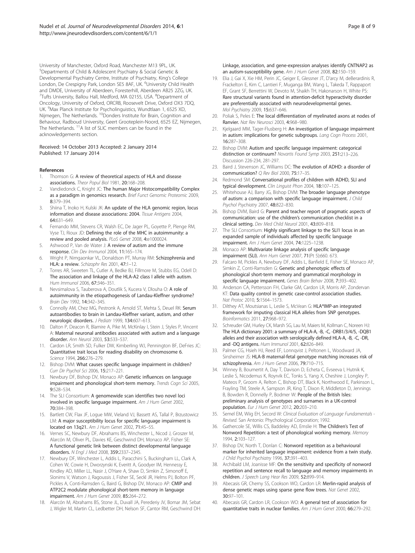<span id="page-7-0"></span>University of Manchester, Oxford Road, Manchester M13 9PL, UK. 5 Departments of Child & Adolescent Psychiatry & Social Genetic & Developmental Psychiatry Centre, Institute of Psychiatry, King's College London, De Crespigny Park, London SE5 8AF, UK. <sup>6</sup>University Child Health and DMDE, University of Aberdeen, Foresterhill, Aberdeen AB25 2ZG, UK. <sup>7</sup>Tufts University, Ballou Hall, Medford, MA 02155, USA. <sup>8</sup>Department of Oncology, University of Oxford, ORCRB, Roosevelt Drive, Oxford OX3 7DQ, UK. <sup>9</sup>Max Planck Institute for Psycholinguistics, Wundtlaan 1, 6525 XD, Nijmegen, The Netherlands. <sup>10</sup>Donders Institute for Brain, Cognition and Behaviour, Radboud University, Geert Grooteplein-Noord, 6525 EZ, Nijmegen, The Netherlands. 11A list of SLIC members can be found in the acknowledgements section.

#### Received: 14 October 2013 Accepted: 2 January 2014 Published: 17 January 2014

#### References

- Thomson G: A review of theoretical aspects of HLA and disease associations. Theor Popul Biol 1981, 20:168–208.
- 2. Vandiedonck C, Knight JC: The human Major Histocompatibility Complex as a paradigm in genomics research. Brief Funct Genomic Proteomic 2009, 8:379–394.
- 3. Shiina T, Inoko H, Kulski JK: An update of the HLA genomic region, locus information and disease associations: 2004. Tissue Antigens 2004, 64:631–649.
- 4. Fernando MM, Stevens CR, Walsh EC, De Jager PL, Goyette P, Plenge RM, Vyse TJ, Rioux JD: Defining the role of the MHC in autoimmunity: a review and pooled analysis. PLoS Genet 2008, 4:e1000024.
- Ashwood P, Van de Water J: A review of autism and the immune response. Clin Dev Immunol 2004, 11:165–174.
- 6. Wright P, Nimgaonkar VL, Donaldson PT, Murray RM: Schizophrenia and HLA: a review. Schizophr Res 2001, 47:1–12.
- 7. Torres AR, Sweeten TL, Cutler A, Bedke BJ, Fillmore M, Stubbs EG, Odell D: The association and linkage of the HLA-A2 class I allele with autism. Hum Immunol 2006, 67:346–351.
- 8. Nevsimalova S, Tauberova A, Doutlik S, Kucera V, Dlouha O: A role of autoimmunity in the etiopathogenesis of Landau-Kleffner syndrome? Brain Dev 1992, 14:342–345.
- Connolly AM, Chez MG, Pestronk A, Arnold ST, Mehta S, Deuel RK: Serum autoantibodies to brain in Landau-Kleffner variant, autism, and other neurologic disorders. J Pediatr 1999, 134:607–613.
- 10. Dalton P, Deacon R, Blamire A, Pike M, McKinlay I, Stein J, Styles P, Vincent A: Maternal neuronal antibodies associated with autism and a language disorder. Ann Neurol 2003, 53:533–537.
- 11. Cardon LR, Smith SD, Fulker DW, Kimberling WJ, Pennington BF, DeFries JC: Quantitative trait locus for reading disability on chromosome 6. Science 1994, 266:276-279.
- 12. Bishop DVM: What causes specific language impairment in children? Curr Dir Psychol Sci 2006, 15:217–221.
- 13. Newbury DF, Bishop DV, Monaco AP: Genetic influences on language impairment and phonological short-term memory. Trends Cogn Sci 2005, 9:528–534.
- 14. The SLI Consortium: A genomewide scan identifies two novel loci involved in specific language impairment. Am J Hum Genet 2002, 70:384–398.
- 15. Bartlett CW, Flax JF, Logue MW, Vieland VJ, Bassett AS, Tallal P, Brzustowicz LM: A major susceptibility locus for specific language impairment is located on 13q21. Am J Hum Genet 2002, 71:45–55.
- 16. Vernes SC, Newbury DF, Abrahams BS, Winchester L, Nicod J, Groszer M, Alarcón M, Oliver PL, Davies KE, Geschwind DH, Monaco AP, Fisher SE: A functional genetic link between distinct developmental language disorders. N Engl J Med 2008, 359:2337–2345.
- 17. Newbury DF, Winchester L, Addis L, Paracchini S, Buckingham LL, Clark A, Cohen W, Cowie H, Dworzynski K, Everitt A, Goodyer IM, Hennessy E, Kindley AD, Miller LL, Nasir J, O'Hare A, Shaw D, Simkin Z, Simonoff E, Slonims V, Watson J, Ragoussis J, Fisher SE, Seckl JR, Helms PJ, Bolton PF, Pickles A, Conti-Ramsden G, Baird G, Bishop DV, Monaco AP: CMIP and ATP2C2 modulate phonological short-term memory in language impairment. Am J Hum Genet 2009, 85:264–272.
- 18. Alarcón M, Abrahams BS, Stone JL, Duvall JA, Perederiy JV, Bomar JM, Sebat J, Wigler M, Martin CL, Ledbetter DH, Nelson SF, Cantor RM, Geschwind DH:

Linkage, association, and gene-expression analyses identify CNTNAP2 as an autism-susceptibility gene. Am J Hum Genet 2008, 82:150–159.

- 19. Elia J, Gai X, Xie HM, Perin JC, Geiger E, Glessner JT, D'arcy M, deBerardinis R, Frackelton E, Kim C, Lantieri F, Muganga BM, Wang L, Takeda T, Rappaport EF, Grant SF, Berrettini W, Devoto M, Shaikh TH, Hakonarson H, White PS: Rare structural variants found in attention-deficit hyperactivity disorder are preferentially associated with neurodevelopmental genes. Mol Psychiatry 2009, 15:637–646.
- 20. Poliak S, Peles E: The local differentiation of myelinated axons at nodes of Ranvier. Nat Rev Neurosci 2003, 4:968–980.
- 21. Kjelgaard MM, Tager-Flusberg H: An investigation of language impairment in autism: implications for genetic subgroups. Lang Cogn Process 2001, 16:287–308.
- 22. Bishop DVM: Autism and specific language impairment: categorical distinction or continuum? Novartis Found Symp 2003, 251:213–226. Discussion 226-234, 281-297.
- 23. Baird J, Stevenson JC, Williams DC: The evolution of ADHD: a disorder of communication? Q Rev Biol 2000, 75:17-35.
- 24. Redmond SM: Conversational profiles of children with ADHD, SLI and typical development. Clin Linguist Phon 2004, 18:107–125.
- 25. Whitehouse AJ, Barry JG, Bishop DVM: The broader language phenotype of autism: a comparison with specific language impairment. J Child Psychol Psychiatry 2007, 48:822–830.
- 26. Bishop DVM, Baird G: Parent and teacher report of pragmatic aspects of communication: use of the children's communication checklist in a clinical setting. Dev Med Child Neurol 2001, 43:809–818.
- 27. The SLI Consortium: Highly significant linkage to the SLI1 locus in an expanded sample of individuals affected by specific language impairment. Am J Hum Genet 2004, 74:1225–1238.
- 28. Monaco AP: Multivariate linkage analysis of specific language impairment (SLI). Ann Hum Genet 2007, 71(Pt 5):660. 673.
- 29. Falcaro M, Pickles A, Newbury DF, Addis L, Banfield E, Fisher SE, Monaco AP, Simkin Z, Conti-Ramsden G: Genetic and phenotypic effects of phonological short-term memory and grammatical morphology in specific language impairment. Genes Brain Behav 2008, 7:393–402.
- 30. Anderson CA, Pettersson FH, Clarke GM, Cardon LR, Morris AP, Zondervan KT: Data quality control in genetic case-control association studies. Nat Protoc 2010, 5:1564–1573.
- 31. Dilthey AT, Moutsianas L, Leslie S, McVean G: HLA\*IMP-an integrated framework for imputing classical HLA alleles from SNP genotypes. Bioinformatics 2011, 27:968–972.
- 32. Schreuder GM, Hurley CK, Marsh SG, Lau M, Maiers M, Kollman C, Noreen HJ: The HLA dictionary 2001: a summary of HLA-A, -B, -C, -DRB1/3/4/5, -DQB1 alleles and their association with serologically defined HLA-A, -B, -C, -DR, and -DQ antigens. Hum Immunol 2001, 62:826–849.
- 33. Palmer CG, Hsieh HJ, Reed EF, Lonnqvist J, Peltonen L, Woodward JA, Sinsheimer JS: HLA-B maternal-fetal genotype matching increases risk of schizophrenia. Am J Hum Genet 2006, 79:710-715.
- 34. Winney B, Boumertit A, Day T, Davison D, Echeta C, Evseeva I, Hutnik K, Leslie S, Nicodemus K, Royrvik EC, Tonks S, Yang X, Cheshire J, Longley P, Mateos P, Groom A, Relton C, Bishop DT, Black K, Northwood E, Parkinson L, Frayling TM, Steele A, Sampson JR, King T, Dixon R, Middleton D, Jennings B, Bowden R, Donnelly P, Bodmer W: People of the British Isles: preliminary analysis of genotypes and surnames in a UK-control population. Eur J Hum Genet 2012, 20:203–210.
- 35. Semel EM, Wiig EH, Secord W: Clinical Evaluation of Language Fundamentals -Revised. San Antonio: Phychological Corporation; 1992.
- 36. Gathercole SE, Willis CS, Baddeley AD, Emslie H: The Children's Test of Nonword Repetition: a test of phonological working memory. Memory 1994, 2:103–127.
- 37. Bishop DV, North T, Donlan C: Nonword repetition as a behavioural marker for inherited language impairment: evidence from a twin study. J Child Psychol Psychiatry 1996, 37:391–403.
- 38. Archibald LM, Joanisse MF: On the sensitivity and specificity of nonword repetition and sentence recall to language and memory impairments in children. J Speech Lang Hear Res 2009, 52:899–914.
- 39. Abecasis GR, Cherny SS, Cookson WO, Cardon LR: Merlin-rapid analysis of dense genetic maps using sparse gene flow trees. Nat Genet 2002, 30:97–101.
- 40. Abecasis GR, Cardon LR, Cookson WO: A general test of association for quantitative traits in nuclear families. Am J Hum Genet 2000, 66:279–292.